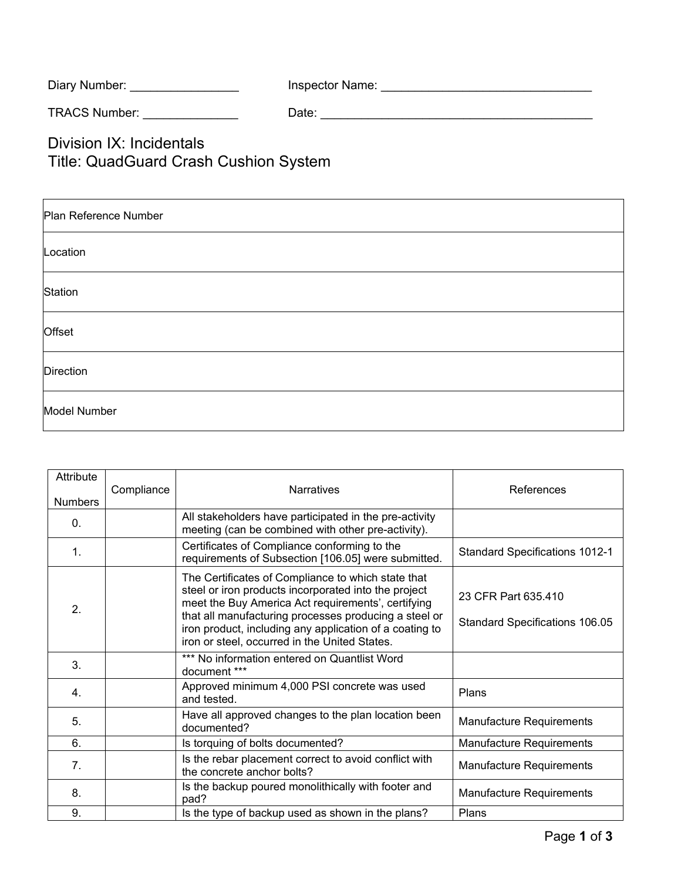Diary Number: \_\_\_\_\_\_\_\_\_\_\_\_\_\_\_\_ Inspector Name: \_\_\_\_\_\_\_\_\_\_\_\_\_\_\_\_\_\_\_\_\_\_\_\_\_\_\_\_\_\_\_

TRACS Number: \_\_\_\_\_\_\_\_\_\_\_\_\_\_ Date: \_\_\_\_\_\_\_\_\_\_\_\_\_\_\_\_\_\_\_\_\_\_\_\_\_\_\_\_\_\_\_\_\_\_\_\_\_\_\_\_

Division IX: Incidentals Title: QuadGuard Crash Cushion System

| Plan Reference Number |  |  |  |  |
|-----------------------|--|--|--|--|
| Location              |  |  |  |  |
| Station               |  |  |  |  |
| Offset                |  |  |  |  |
| Direction             |  |  |  |  |
| Model Number          |  |  |  |  |

| Attribute        | Compliance | <b>Narratives</b>                                                                                                                                                                                                                                                                                                                     | References                                            |
|------------------|------------|---------------------------------------------------------------------------------------------------------------------------------------------------------------------------------------------------------------------------------------------------------------------------------------------------------------------------------------|-------------------------------------------------------|
| <b>Numbers</b>   |            |                                                                                                                                                                                                                                                                                                                                       |                                                       |
| $\mathbf{0}$ .   |            | All stakeholders have participated in the pre-activity<br>meeting (can be combined with other pre-activity).                                                                                                                                                                                                                          |                                                       |
| $\mathbf{1}$ .   |            | Certificates of Compliance conforming to the<br>requirements of Subsection [106.05] were submitted.                                                                                                                                                                                                                                   | <b>Standard Specifications 1012-1</b>                 |
| $\overline{2}$ . |            | The Certificates of Compliance to which state that<br>steel or iron products incorporated into the project<br>meet the Buy America Act requirements', certifying<br>that all manufacturing processes producing a steel or<br>iron product, including any application of a coating to<br>iron or steel, occurred in the United States. | 23 CFR Part 635.410<br>Standard Specifications 106.05 |
| 3.               |            | *** No information entered on Quantlist Word<br>document ***                                                                                                                                                                                                                                                                          |                                                       |
| 4.               |            | Approved minimum 4,000 PSI concrete was used<br>and tested.                                                                                                                                                                                                                                                                           | Plans                                                 |
| 5.               |            | Have all approved changes to the plan location been<br>documented?                                                                                                                                                                                                                                                                    | Manufacture Requirements                              |
| 6.               |            | Is torquing of bolts documented?                                                                                                                                                                                                                                                                                                      | Manufacture Requirements                              |
| 7.               |            | Is the rebar placement correct to avoid conflict with<br>the concrete anchor bolts?                                                                                                                                                                                                                                                   | Manufacture Requirements                              |
| 8.               |            | Is the backup poured monolithically with footer and<br>pad?                                                                                                                                                                                                                                                                           | Manufacture Requirements                              |
| 9.               |            | Is the type of backup used as shown in the plans?                                                                                                                                                                                                                                                                                     | Plans                                                 |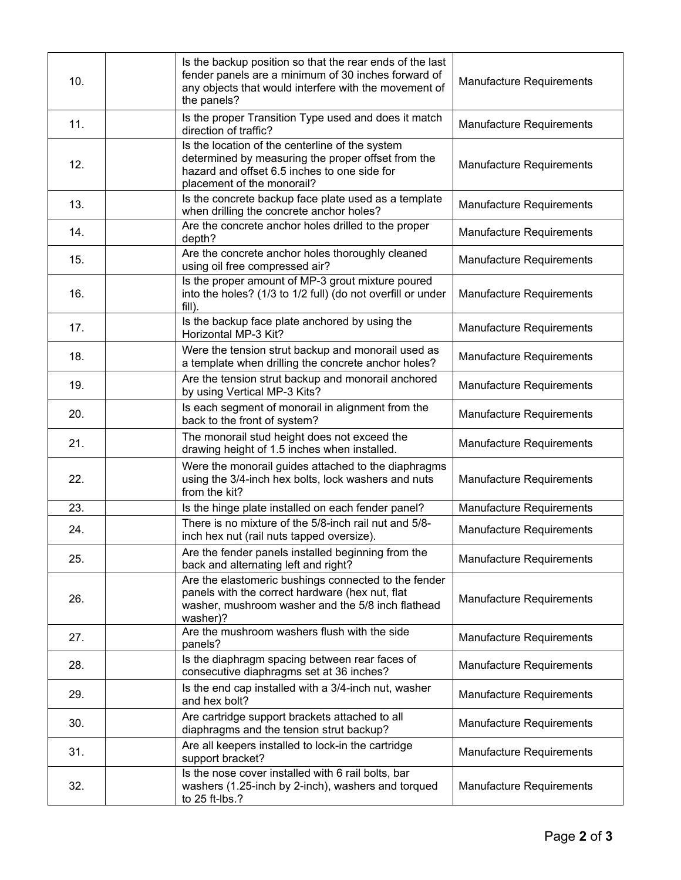| 10. | Is the backup position so that the rear ends of the last<br>fender panels are a minimum of 30 inches forward of<br>any objects that would interfere with the movement of<br>the panels? | Manufacture Requirements        |
|-----|-----------------------------------------------------------------------------------------------------------------------------------------------------------------------------------------|---------------------------------|
| 11. | Is the proper Transition Type used and does it match<br>direction of traffic?                                                                                                           | Manufacture Requirements        |
| 12. | Is the location of the centerline of the system<br>determined by measuring the proper offset from the<br>hazard and offset 6.5 inches to one side for<br>placement of the monorail?     | Manufacture Requirements        |
| 13. | Is the concrete backup face plate used as a template<br>when drilling the concrete anchor holes?                                                                                        | Manufacture Requirements        |
| 14. | Are the concrete anchor holes drilled to the proper<br>depth?                                                                                                                           | Manufacture Requirements        |
| 15. | Are the concrete anchor holes thoroughly cleaned<br>using oil free compressed air?                                                                                                      | Manufacture Requirements        |
| 16. | Is the proper amount of MP-3 grout mixture poured<br>into the holes? (1/3 to 1/2 full) (do not overfill or under<br>fill).                                                              | <b>Manufacture Requirements</b> |
| 17. | Is the backup face plate anchored by using the<br>Horizontal MP-3 Kit?                                                                                                                  | Manufacture Requirements        |
| 18. | Were the tension strut backup and monorail used as<br>a template when drilling the concrete anchor holes?                                                                               | <b>Manufacture Requirements</b> |
| 19. | Are the tension strut backup and monorail anchored<br>by using Vertical MP-3 Kits?                                                                                                      | Manufacture Requirements        |
| 20. | Is each segment of monorail in alignment from the<br>back to the front of system?                                                                                                       | Manufacture Requirements        |
| 21. | The monorail stud height does not exceed the<br>drawing height of 1.5 inches when installed.                                                                                            | Manufacture Requirements        |
| 22. | Were the monorail guides attached to the diaphragms<br>using the 3/4-inch hex bolts, lock washers and nuts<br>from the kit?                                                             | Manufacture Requirements        |
| 23. | Is the hinge plate installed on each fender panel?                                                                                                                                      | Manufacture Requirements        |
| 24. | There is no mixture of the 5/8-inch rail nut and 5/8-<br>inch hex nut (rail nuts tapped oversize).                                                                                      | Manufacture Requirements        |
| 25. | Are the fender panels installed beginning from the<br>back and alternating left and right?                                                                                              | Manufacture Requirements        |
| 26. | Are the elastomeric bushings connected to the fender<br>panels with the correct hardware (hex nut, flat<br>washer, mushroom washer and the 5/8 inch flathead<br>washer)?                | Manufacture Requirements        |
| 27. | Are the mushroom washers flush with the side<br>panels?                                                                                                                                 | Manufacture Requirements        |
| 28. | Is the diaphragm spacing between rear faces of<br>consecutive diaphragms set at 36 inches?                                                                                              | Manufacture Requirements        |
| 29. | Is the end cap installed with a 3/4-inch nut, washer<br>and hex bolt?                                                                                                                   | Manufacture Requirements        |
| 30. | Are cartridge support brackets attached to all<br>diaphragms and the tension strut backup?                                                                                              | Manufacture Requirements        |
| 31. | Are all keepers installed to lock-in the cartridge<br>support bracket?                                                                                                                  | Manufacture Requirements        |
| 32. | Is the nose cover installed with 6 rail bolts, bar<br>washers (1.25-inch by 2-inch), washers and torqued<br>to 25 ft-lbs.?                                                              | Manufacture Requirements        |